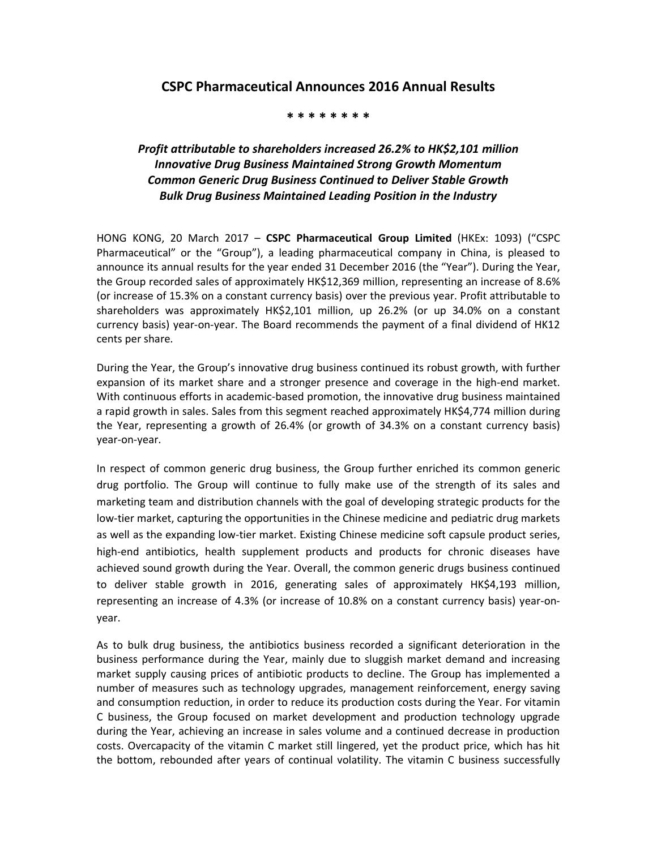## **CSPC Pharmaceutical Announces 2016 Annual Results**

## **\* \* \* \* \* \* \* \***

## *Profit attributable to shareholders increased 26.2% to HK\$2,101 million Innovative Drug Business Maintained Strong Growth Momentum Common Generic Drug Business Continued to Deliver Stable Growth Bulk Drug Business Maintained Leading Position in the Industry*

HONG KONG, 20 March 2017 – **CSPC Pharmaceutical Group Limited** (HKEx: 1093) ("CSPC Pharmaceutical" or the "Group"), a leading pharmaceutical company in China, is pleased to announce its annual results for the year ended 31 December 2016 (the "Year"). During the Year, the Group recorded sales of approximately HK\$12,369 million, representing an increase of 8.6% (or increase of 15.3% on a constant currency basis) over the previous year. Profit attributable to shareholders was approximately HK\$2,101 million, up 26.2% (or up 34.0% on a constant currency basis) year-on-year. The Board recommends the payment of a final dividend of HK12 cents per share.

During the Year, the Group's innovative drug business continued its robust growth, with further expansion of its market share and a stronger presence and coverage in the high-end market. With continuous efforts in academic-based promotion, the innovative drug business maintained a rapid growth in sales. Sales from this segment reached approximately HK\$4,774 million during the Year, representing a growth of 26.4% (or growth of 34.3% on a constant currency basis) year-on-year.

In respect of common generic drug business, the Group further enriched its common generic drug portfolio. The Group will continue to fully make use of the strength of its sales and marketing team and distribution channels with the goal of developing strategic products for the low-tier market, capturing the opportunities in the Chinese medicine and pediatric drug markets as well as the expanding low-tier market. Existing Chinese medicine soft capsule product series, high-end antibiotics, health supplement products and products for chronic diseases have achieved sound growth during the Year. Overall, the common generic drugs business continued to deliver stable growth in 2016, generating sales of approximately HK\$4,193 million, representing an increase of 4.3% (or increase of 10.8% on a constant currency basis) year-onyear.

As to bulk drug business, the antibiotics business recorded a significant deterioration in the business performance during the Year, mainly due to sluggish market demand and increasing market supply causing prices of antibiotic products to decline. The Group has implemented a number of measures such as technology upgrades, management reinforcement, energy saving and consumption reduction, in order to reduce its production costs during the Year. For vitamin C business, the Group focused on market development and production technology upgrade during the Year, achieving an increase in sales volume and a continued decrease in production costs. Overcapacity of the vitamin C market still lingered, yet the product price, which has hit the bottom, rebounded after years of continual volatility. The vitamin C business successfully